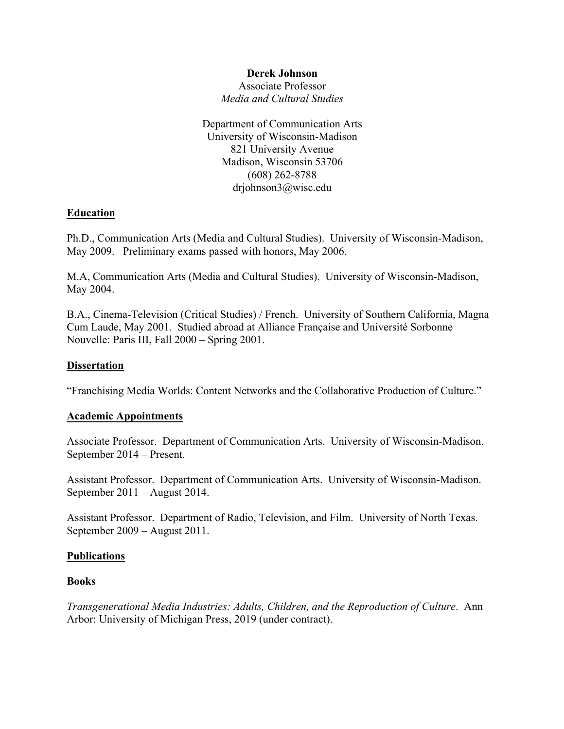### **Derek Johnson**

Associate Professor *Media and Cultural Studies*

Department of Communication Arts University of Wisconsin-Madison 821 University Avenue Madison, Wisconsin 53706 (608) 262-8788 drjohnson3@wisc.edu

### **Education**

Ph.D., Communication Arts (Media and Cultural Studies). University of Wisconsin-Madison, May 2009.Preliminary exams passed with honors, May 2006.

M.A, Communication Arts (Media and Cultural Studies). University of Wisconsin-Madison, May 2004.

B.A., Cinema-Television (Critical Studies) / French. University of Southern California, Magna Cum Laude, May 2001. Studied abroad at Alliance Française and Université Sorbonne Nouvelle: Paris III, Fall 2000 – Spring 2001.

### **Dissertation**

"Franchising Media Worlds: Content Networks and the Collaborative Production of Culture."

#### **Academic Appointments**

Associate Professor. Department of Communication Arts. University of Wisconsin-Madison. September 2014 – Present.

Assistant Professor. Department of Communication Arts. University of Wisconsin-Madison. September 2011 – August 2014.

Assistant Professor. Department of Radio, Television, and Film. University of North Texas. September 2009 – August 2011.

#### **Publications**

#### **Books**

*Transgenerational Media Industries: Adults, Children, and the Reproduction of Culture*. Ann Arbor: University of Michigan Press, 2019 (under contract).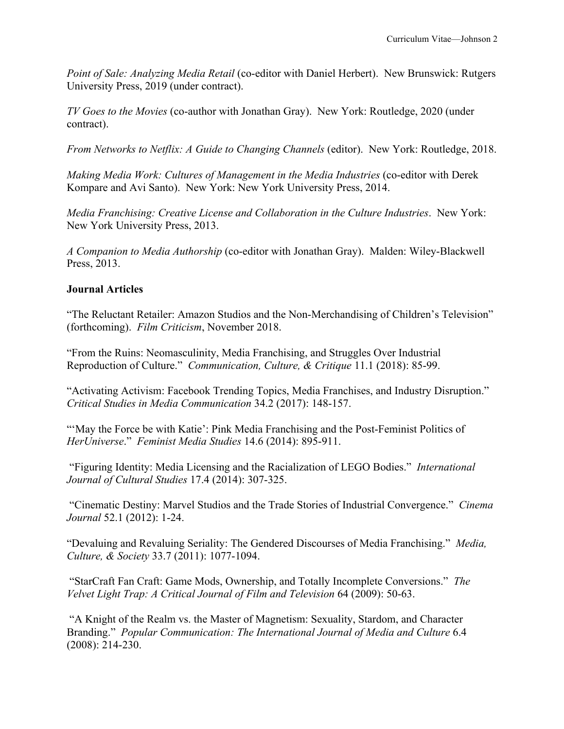*Point of Sale: Analyzing Media Retail* (co-editor with Daniel Herbert). New Brunswick: Rutgers University Press, 2019 (under contract).

*TV Goes to the Movies* (co-author with Jonathan Gray). New York: Routledge, 2020 (under contract).

*From Networks to Netflix: A Guide to Changing Channels* (editor). New York: Routledge, 2018.

*Making Media Work: Cultures of Management in the Media Industries* (co-editor with Derek Kompare and Avi Santo). New York: New York University Press, 2014.

*Media Franchising: Creative License and Collaboration in the Culture Industries*. New York: New York University Press, 2013.

*A Companion to Media Authorship* (co-editor with Jonathan Gray). Malden: Wiley-Blackwell Press, 2013.

# **Journal Articles**

"The Reluctant Retailer: Amazon Studios and the Non-Merchandising of Children's Television" (forthcoming). *Film Criticism*, November 2018.

"From the Ruins: Neomasculinity, Media Franchising, and Struggles Over Industrial Reproduction of Culture." *Communication, Culture, & Critique* 11.1 (2018): 85-99.

"Activating Activism: Facebook Trending Topics, Media Franchises, and Industry Disruption." *Critical Studies in Media Communication* 34.2 (2017): 148-157.

"'May the Force be with Katie': Pink Media Franchising and the Post-Feminist Politics of *HerUniverse*." *Feminist Media Studies* 14.6 (2014): 895-911.

"Figuring Identity: Media Licensing and the Racialization of LEGO Bodies." *International Journal of Cultural Studies* 17.4 (2014): 307-325.

"Cinematic Destiny: Marvel Studios and the Trade Stories of Industrial Convergence." *Cinema Journal* 52.1 (2012): 1-24.

"Devaluing and Revaluing Seriality: The Gendered Discourses of Media Franchising." *Media, Culture, & Society* 33.7 (2011): 1077-1094.

"StarCraft Fan Craft: Game Mods, Ownership, and Totally Incomplete Conversions." *The Velvet Light Trap: A Critical Journal of Film and Television* 64 (2009): 50-63.

"A Knight of the Realm vs. the Master of Magnetism: Sexuality, Stardom, and Character Branding." *Popular Communication: The International Journal of Media and Culture* 6.4 (2008): 214-230.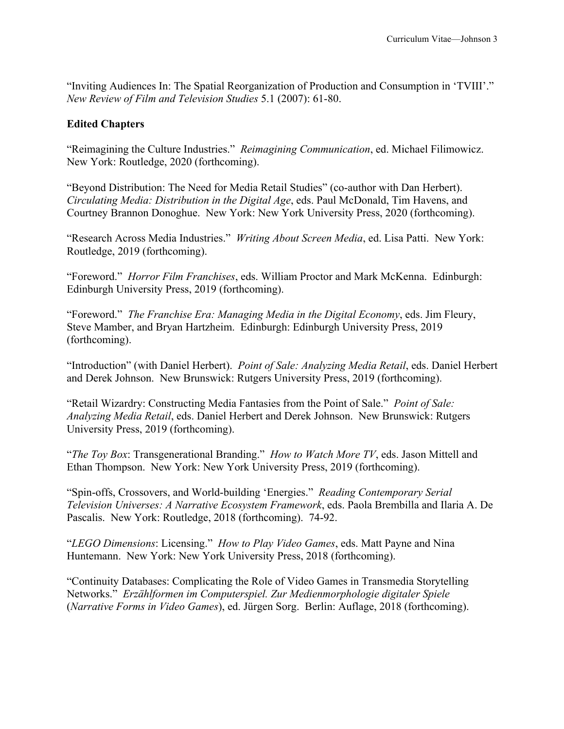"Inviting Audiences In: The Spatial Reorganization of Production and Consumption in 'TVIII'." *New Review of Film and Television Studies* 5.1 (2007): 61-80.

# **Edited Chapters**

"Reimagining the Culture Industries." *Reimagining Communication*, ed. Michael Filimowicz. New York: Routledge, 2020 (forthcoming).

"Beyond Distribution: The Need for Media Retail Studies" (co-author with Dan Herbert). *Circulating Media: Distribution in the Digital Age*, eds. Paul McDonald, Tim Havens, and Courtney Brannon Donoghue. New York: New York University Press, 2020 (forthcoming).

"Research Across Media Industries." *Writing About Screen Media*, ed. Lisa Patti. New York: Routledge, 2019 (forthcoming).

"Foreword." *Horror Film Franchises*, eds. William Proctor and Mark McKenna. Edinburgh: Edinburgh University Press, 2019 (forthcoming).

"Foreword." *The Franchise Era: Managing Media in the Digital Economy*, eds. Jim Fleury, Steve Mamber, and Bryan Hartzheim. Edinburgh: Edinburgh University Press, 2019 (forthcoming).

"Introduction" (with Daniel Herbert). *Point of Sale: Analyzing Media Retail*, eds. Daniel Herbert and Derek Johnson. New Brunswick: Rutgers University Press, 2019 (forthcoming).

"Retail Wizardry: Constructing Media Fantasies from the Point of Sale." *Point of Sale: Analyzing Media Retail*, eds. Daniel Herbert and Derek Johnson. New Brunswick: Rutgers University Press, 2019 (forthcoming).

"*The Toy Box*: Transgenerational Branding." *How to Watch More TV*, eds. Jason Mittell and Ethan Thompson. New York: New York University Press, 2019 (forthcoming).

"Spin-offs, Crossovers, and World-building 'Energies." *Reading Contemporary Serial Television Universes: A Narrative Ecosystem Framework*, eds. Paola Brembilla and Ilaria A. De Pascalis. New York: Routledge, 2018 (forthcoming). 74-92.

"*LEGO Dimensions*: Licensing." *How to Play Video Games*, eds. Matt Payne and Nina Huntemann. New York: New York University Press, 2018 (forthcoming).

"Continuity Databases: Complicating the Role of Video Games in Transmedia Storytelling Networks." *Erzählformen im Computerspiel. Zur Medienmorphologie digitaler Spiele* (*Narrative Forms in Video Games*), ed. Jürgen Sorg. Berlin: Auflage, 2018 (forthcoming).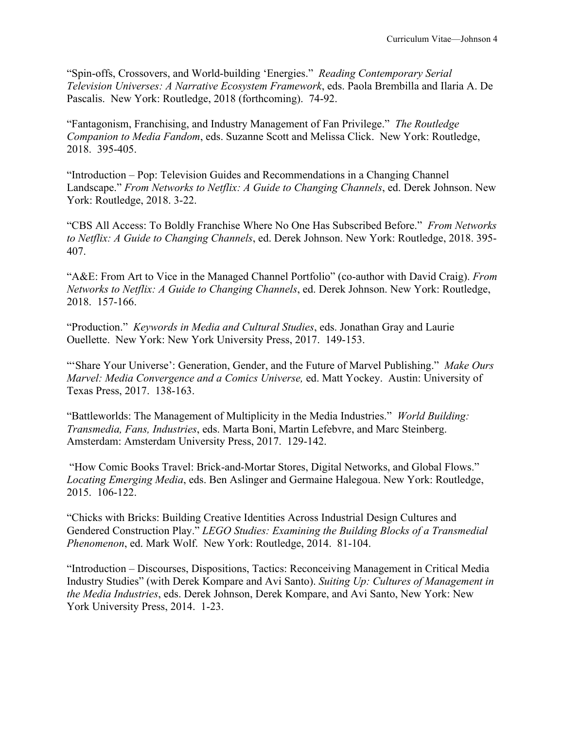"Spin-offs, Crossovers, and World-building 'Energies." *Reading Contemporary Serial Television Universes: A Narrative Ecosystem Framework*, eds. Paola Brembilla and Ilaria A. De Pascalis. New York: Routledge, 2018 (forthcoming). 74-92.

"Fantagonism, Franchising, and Industry Management of Fan Privilege." *The Routledge Companion to Media Fandom*, eds. Suzanne Scott and Melissa Click. New York: Routledge, 2018. 395-405.

"Introduction – Pop: Television Guides and Recommendations in a Changing Channel Landscape." *From Networks to Netflix: A Guide to Changing Channels*, ed. Derek Johnson. New York: Routledge, 2018. 3-22.

"CBS All Access: To Boldly Franchise Where No One Has Subscribed Before." *From Networks to Netflix: A Guide to Changing Channels*, ed. Derek Johnson. New York: Routledge, 2018. 395- 407.

"A&E: From Art to Vice in the Managed Channel Portfolio" (co-author with David Craig). *From Networks to Netflix: A Guide to Changing Channels*, ed. Derek Johnson. New York: Routledge, 2018. 157-166.

"Production." *Keywords in Media and Cultural Studies*, eds. Jonathan Gray and Laurie Ouellette. New York: New York University Press, 2017. 149-153.

"'Share Your Universe': Generation, Gender, and the Future of Marvel Publishing." *Make Ours Marvel: Media Convergence and a Comics Universe,* ed. Matt Yockey. Austin: University of Texas Press, 2017. 138-163.

"Battleworlds: The Management of Multiplicity in the Media Industries." *World Building: Transmedia, Fans, Industries*, eds. Marta Boni, Martin Lefebvre, and Marc Steinberg. Amsterdam: Amsterdam University Press, 2017. 129-142.

"How Comic Books Travel: Brick-and-Mortar Stores, Digital Networks, and Global Flows." *Locating Emerging Media*, eds. Ben Aslinger and Germaine Halegoua. New York: Routledge, 2015. 106-122.

"Chicks with Bricks: Building Creative Identities Across Industrial Design Cultures and Gendered Construction Play." *LEGO Studies: Examining the Building Blocks of a Transmedial Phenomenon*, ed. Mark Wolf. New York: Routledge, 2014. 81-104.

"Introduction – Discourses, Dispositions, Tactics: Reconceiving Management in Critical Media Industry Studies" (with Derek Kompare and Avi Santo). *Suiting Up: Cultures of Management in the Media Industries*, eds. Derek Johnson, Derek Kompare, and Avi Santo, New York: New York University Press, 2014. 1-23.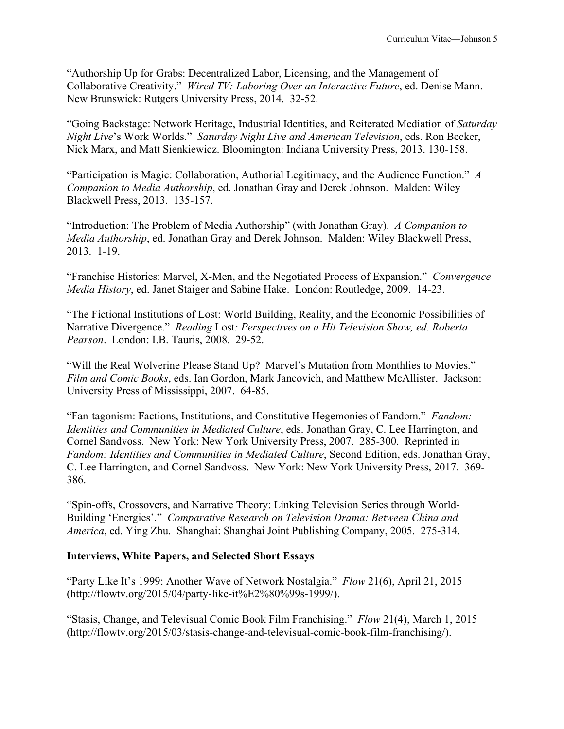"Authorship Up for Grabs: Decentralized Labor, Licensing, and the Management of Collaborative Creativity." *Wired TV: Laboring Over an Interactive Future*, ed. Denise Mann. New Brunswick: Rutgers University Press, 2014. 32-52.

"Going Backstage: Network Heritage, Industrial Identities, and Reiterated Mediation of *Saturday Night Live*'s Work Worlds." *Saturday Night Live and American Television*, eds. Ron Becker, Nick Marx, and Matt Sienkiewicz. Bloomington: Indiana University Press, 2013. 130-158.

"Participation is Magic: Collaboration, Authorial Legitimacy, and the Audience Function." *A Companion to Media Authorship*, ed. Jonathan Gray and Derek Johnson. Malden: Wiley Blackwell Press, 2013. 135-157.

"Introduction: The Problem of Media Authorship" (with Jonathan Gray). *A Companion to Media Authorship*, ed. Jonathan Gray and Derek Johnson. Malden: Wiley Blackwell Press, 2013. 1-19.

"Franchise Histories: Marvel, X-Men, and the Negotiated Process of Expansion." *Convergence Media History*, ed. Janet Staiger and Sabine Hake. London: Routledge, 2009. 14-23.

"The Fictional Institutions of Lost: World Building, Reality, and the Economic Possibilities of Narrative Divergence." *Reading* Lost*: Perspectives on a Hit Television Show, ed. Roberta Pearson*. London: I.B. Tauris, 2008. 29-52.

"Will the Real Wolverine Please Stand Up? Marvel's Mutation from Monthlies to Movies." *Film and Comic Books*, eds. Ian Gordon, Mark Jancovich, and Matthew McAllister. Jackson: University Press of Mississippi, 2007. 64-85.

"Fan-tagonism: Factions, Institutions, and Constitutive Hegemonies of Fandom." *Fandom: Identities and Communities in Mediated Culture*, eds. Jonathan Gray, C. Lee Harrington, and Cornel Sandvoss. New York: New York University Press, 2007. 285-300. Reprinted in *Fandom: Identities and Communities in Mediated Culture*, Second Edition, eds. Jonathan Gray, C. Lee Harrington, and Cornel Sandvoss. New York: New York University Press, 2017. 369- 386.

"Spin-offs, Crossovers, and Narrative Theory: Linking Television Series through World-Building 'Energies'." *Comparative Research on Television Drama: Between China and America*, ed. Ying Zhu. Shanghai: Shanghai Joint Publishing Company, 2005. 275-314.

# **Interviews, White Papers, and Selected Short Essays**

"Party Like It's 1999: Another Wave of Network Nostalgia." *Flow* 21(6), April 21, 2015 (http://flowtv.org/2015/04/party-like-it%E2%80%99s-1999/).

"Stasis, Change, and Televisual Comic Book Film Franchising." *Flow* 21(4), March 1, 2015 (http://flowtv.org/2015/03/stasis-change-and-televisual-comic-book-film-franchising/).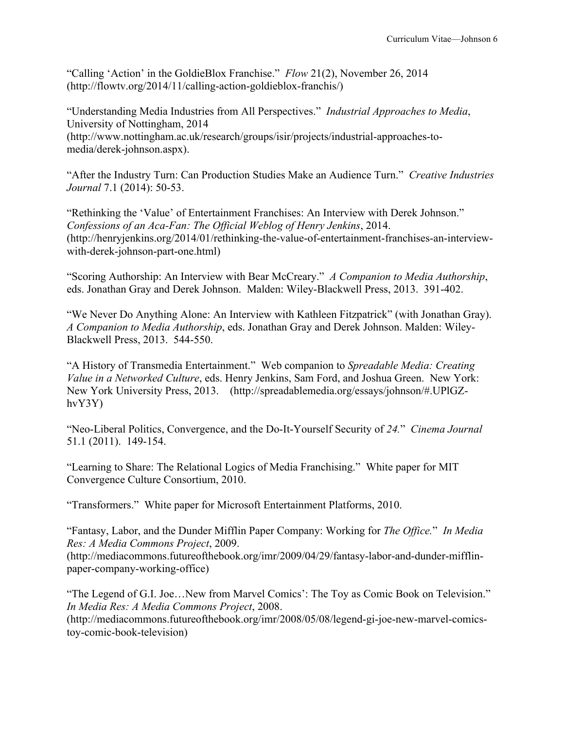"Calling 'Action' in the GoldieBlox Franchise." *Flow* 21(2), November 26, 2014 (http://flowtv.org/2014/11/calling-action-goldieblox-franchis/)

"Understanding Media Industries from All Perspectives." *Industrial Approaches to Media*, University of Nottingham, 2014 (http://www.nottingham.ac.uk/research/groups/isir/projects/industrial-approaches-tomedia/derek-johnson.aspx).

"After the Industry Turn: Can Production Studies Make an Audience Turn." *Creative Industries Journal* 7.1 (2014): 50-53.

"Rethinking the 'Value' of Entertainment Franchises: An Interview with Derek Johnson." *Confessions of an Aca-Fan: The Official Weblog of Henry Jenkins*, 2014. (http://henryjenkins.org/2014/01/rethinking-the-value-of-entertainment-franchises-an-interviewwith-derek-johnson-part-one.html)

"Scoring Authorship: An Interview with Bear McCreary." *A Companion to Media Authorship*, eds. Jonathan Gray and Derek Johnson. Malden: Wiley-Blackwell Press, 2013. 391-402.

"We Never Do Anything Alone: An Interview with Kathleen Fitzpatrick" (with Jonathan Gray). *A Companion to Media Authorship*, eds. Jonathan Gray and Derek Johnson. Malden: Wiley-Blackwell Press, 2013. 544-550.

"A History of Transmedia Entertainment." Web companion to *Spreadable Media: Creating Value in a Networked Culture*, eds. Henry Jenkins, Sam Ford, and Joshua Green. New York: New York University Press, 2013. (http://spreadablemedia.org/essays/johnson/#.UPlGZhvY3Y)

"Neo-Liberal Politics, Convergence, and the Do-It-Yourself Security of *24.*" *Cinema Journal*  51.1 (2011). 149-154.

"Learning to Share: The Relational Logics of Media Franchising." White paper for MIT Convergence Culture Consortium, 2010.

"Transformers." White paper for Microsoft Entertainment Platforms, 2010.

"Fantasy, Labor, and the Dunder Mifflin Paper Company: Working for *The Office.*" *In Media Res: A Media Commons Project*, 2009.

(http://mediacommons.futureofthebook.org/imr/2009/04/29/fantasy-labor-and-dunder-mifflinpaper-company-working-office)

"The Legend of G.I. Joe…New from Marvel Comics': The Toy as Comic Book on Television." *In Media Res: A Media Commons Project*, 2008.

(http://mediacommons.futureofthebook.org/imr/2008/05/08/legend-gi-joe-new-marvel-comicstoy-comic-book-television)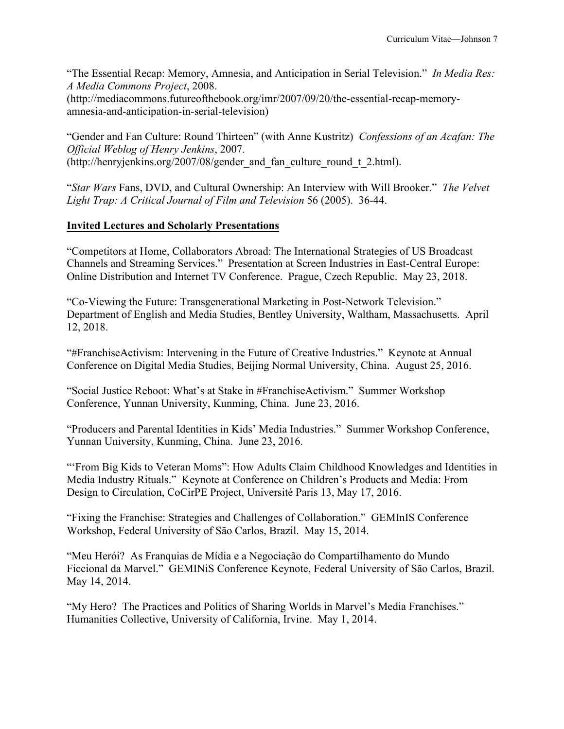"The Essential Recap: Memory, Amnesia, and Anticipation in Serial Television." *In Media Res: A Media Commons Project*, 2008.

(http://mediacommons.futureofthebook.org/imr/2007/09/20/the-essential-recap-memoryamnesia-and-anticipation-in-serial-television)

"Gender and Fan Culture: Round Thirteen" (with Anne Kustritz) *Confessions of an Acafan: The Official Weblog of Henry Jenkins*, 2007. (http://henryjenkins.org/2007/08/gender\_and\_fan\_culture\_round\_t\_2.html).

"*Star Wars* Fans, DVD, and Cultural Ownership: An Interview with Will Brooker." *The Velvet Light Trap: A Critical Journal of Film and Television* 56 (2005). 36-44.

# **Invited Lectures and Scholarly Presentations**

"Competitors at Home, Collaborators Abroad: The International Strategies of US Broadcast Channels and Streaming Services." Presentation at Screen Industries in East-Central Europe: Online Distribution and Internet TV Conference. Prague, Czech Republic. May 23, 2018.

"Co-Viewing the Future: Transgenerational Marketing in Post-Network Television." Department of English and Media Studies, Bentley University, Waltham, Massachusetts. April 12, 2018.

"#FranchiseActivism: Intervening in the Future of Creative Industries." Keynote at Annual Conference on Digital Media Studies, Beijing Normal University, China. August 25, 2016.

"Social Justice Reboot: What's at Stake in #FranchiseActivism." Summer Workshop Conference, Yunnan University, Kunming, China. June 23, 2016.

"Producers and Parental Identities in Kids' Media Industries." Summer Workshop Conference, Yunnan University, Kunming, China. June 23, 2016.

"'From Big Kids to Veteran Moms": How Adults Claim Childhood Knowledges and Identities in Media Industry Rituals." Keynote at Conference on Children's Products and Media: From Design to Circulation, CoCirPE Project, Université Paris 13, May 17, 2016.

"Fixing the Franchise: Strategies and Challenges of Collaboration." GEMInIS Conference Workshop, Federal University of São Carlos, Brazil. May 15, 2014.

"Meu Herói? As Franquias de Mídia e a Negociação do Compartilhamento do Mundo Ficcional da Marvel." GEMINiS Conference Keynote, Federal University of São Carlos, Brazil. May 14, 2014.

"My Hero? The Practices and Politics of Sharing Worlds in Marvel's Media Franchises." Humanities Collective, University of California, Irvine. May 1, 2014.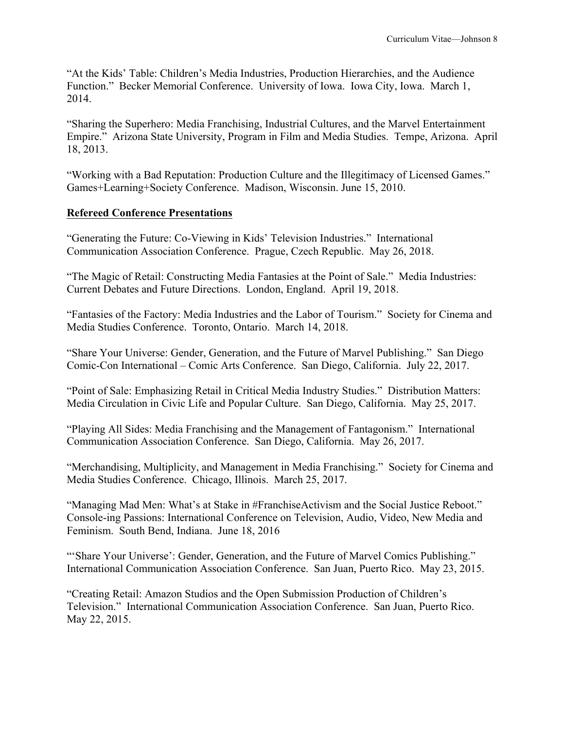"At the Kids' Table: Children's Media Industries, Production Hierarchies, and the Audience Function." Becker Memorial Conference. University of Iowa. Iowa City, Iowa. March 1, 2014.

"Sharing the Superhero: Media Franchising, Industrial Cultures, and the Marvel Entertainment Empire." Arizona State University, Program in Film and Media Studies. Tempe, Arizona. April 18, 2013.

"Working with a Bad Reputation: Production Culture and the Illegitimacy of Licensed Games." Games+Learning+Society Conference. Madison, Wisconsin. June 15, 2010.

# **Refereed Conference Presentations**

"Generating the Future: Co-Viewing in Kids' Television Industries." International Communication Association Conference. Prague, Czech Republic. May 26, 2018.

"The Magic of Retail: Constructing Media Fantasies at the Point of Sale." Media Industries: Current Debates and Future Directions. London, England. April 19, 2018.

"Fantasies of the Factory: Media Industries and the Labor of Tourism." Society for Cinema and Media Studies Conference. Toronto, Ontario. March 14, 2018.

"Share Your Universe: Gender, Generation, and the Future of Marvel Publishing." San Diego Comic-Con International – Comic Arts Conference. San Diego, California. July 22, 2017.

"Point of Sale: Emphasizing Retail in Critical Media Industry Studies." Distribution Matters: Media Circulation in Civic Life and Popular Culture. San Diego, California. May 25, 2017.

"Playing All Sides: Media Franchising and the Management of Fantagonism." International Communication Association Conference. San Diego, California. May 26, 2017.

"Merchandising, Multiplicity, and Management in Media Franchising." Society for Cinema and Media Studies Conference. Chicago, Illinois. March 25, 2017.

"Managing Mad Men: What's at Stake in #FranchiseActivism and the Social Justice Reboot." Console-ing Passions: International Conference on Television, Audio, Video, New Media and Feminism. South Bend, Indiana. June 18, 2016

"'Share Your Universe': Gender, Generation, and the Future of Marvel Comics Publishing." International Communication Association Conference. San Juan, Puerto Rico. May 23, 2015.

"Creating Retail: Amazon Studios and the Open Submission Production of Children's Television." International Communication Association Conference. San Juan, Puerto Rico. May 22, 2015.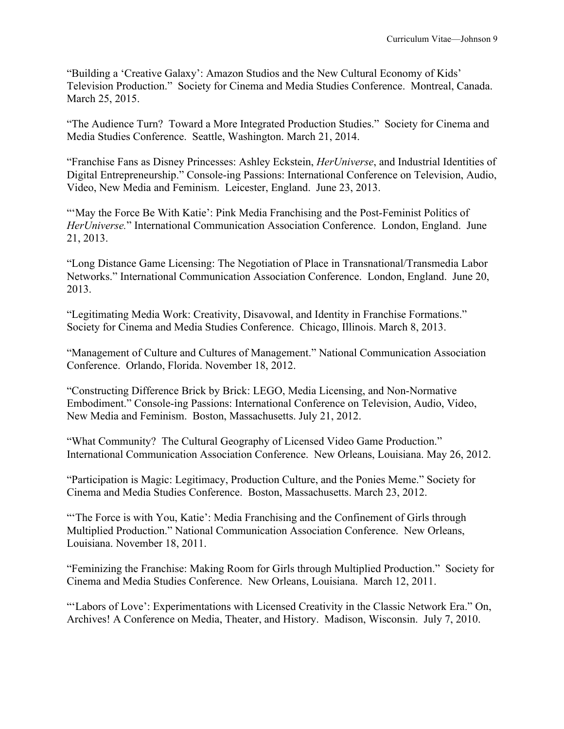"Building a 'Creative Galaxy': Amazon Studios and the New Cultural Economy of Kids' Television Production." Society for Cinema and Media Studies Conference. Montreal, Canada. March 25, 2015.

"The Audience Turn? Toward a More Integrated Production Studies." Society for Cinema and Media Studies Conference. Seattle, Washington. March 21, 2014.

"Franchise Fans as Disney Princesses: Ashley Eckstein, *HerUniverse*, and Industrial Identities of Digital Entrepreneurship." Console-ing Passions: International Conference on Television, Audio, Video, New Media and Feminism. Leicester, England. June 23, 2013.

"'May the Force Be With Katie': Pink Media Franchising and the Post-Feminist Politics of *HerUniverse.*" International Communication Association Conference. London, England. June 21, 2013.

"Long Distance Game Licensing: The Negotiation of Place in Transnational/Transmedia Labor Networks." International Communication Association Conference. London, England. June 20, 2013.

"Legitimating Media Work: Creativity, Disavowal, and Identity in Franchise Formations." Society for Cinema and Media Studies Conference. Chicago, Illinois. March 8, 2013.

"Management of Culture and Cultures of Management." National Communication Association Conference. Orlando, Florida. November 18, 2012.

"Constructing Difference Brick by Brick: LEGO, Media Licensing, and Non-Normative Embodiment." Console-ing Passions: International Conference on Television, Audio, Video, New Media and Feminism. Boston, Massachusetts. July 21, 2012.

"What Community? The Cultural Geography of Licensed Video Game Production." International Communication Association Conference. New Orleans, Louisiana. May 26, 2012.

"Participation is Magic: Legitimacy, Production Culture, and the Ponies Meme." Society for Cinema and Media Studies Conference. Boston, Massachusetts. March 23, 2012.

"'The Force is with You, Katie': Media Franchising and the Confinement of Girls through Multiplied Production." National Communication Association Conference. New Orleans, Louisiana. November 18, 2011.

"Feminizing the Franchise: Making Room for Girls through Multiplied Production." Society for Cinema and Media Studies Conference. New Orleans, Louisiana. March 12, 2011.

"'Labors of Love': Experimentations with Licensed Creativity in the Classic Network Era." On, Archives! A Conference on Media, Theater, and History. Madison, Wisconsin. July 7, 2010.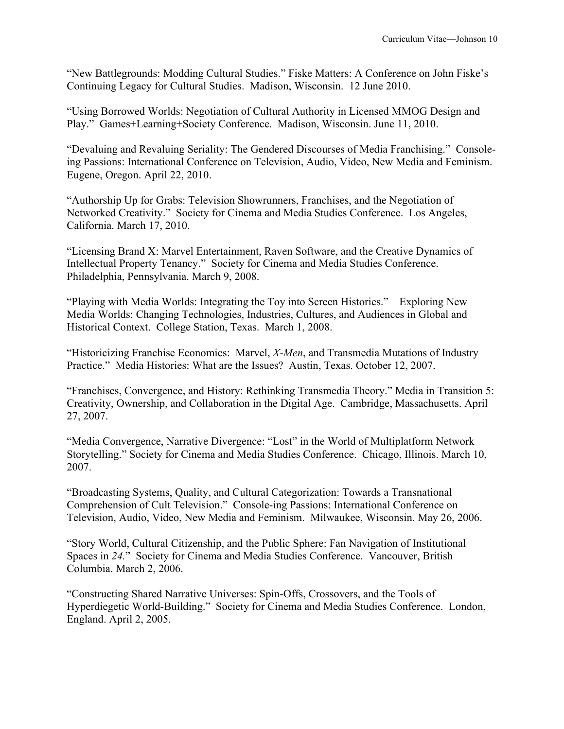"New Battlegrounds: Modding Cultural Studies." Fiske Matters: A Conference on John Fiske's Continuing Legacy for Cultural Studies. Madison, Wisconsin. 12 June 2010.

"Using Borrowed Worlds: Negotiation of Cultural Authority in Licensed MMOG Design and Play." Games+Learning+Society Conference. Madison, Wisconsin. June 11, 2010.

"Devaluing and Revaluing Seriality: The Gendered Discourses of Media Franchising." Consoleing Passions: International Conference on Television, Audio, Video, New Media and Feminism. Eugene, Oregon. April 22, 2010.

"Authorship Up for Grabs: Television Showrunners, Franchises, and the Negotiation of Networked Creativity." Society for Cinema and Media Studies Conference. Los Angeles, California. March 17, 2010.

"Licensing Brand X: Marvel Entertainment, Raven Software, and the Creative Dynamics of Intellectual Property Tenancy." Society for Cinema and Media Studies Conference. Philadelphia, Pennsylvania. March 9, 2008.

"Playing with Media Worlds: Integrating the Toy into Screen Histories." Exploring New Media Worlds: Changing Technologies, Industries, Cultures, and Audiences in Global and Historical Context. College Station, Texas. March 1, 2008.

"Historicizing Franchise Economics: Marvel, *X-Men*, and Transmedia Mutations of Industry Practice." Media Histories: What are the Issues? Austin, Texas. October 12, 2007.

"Franchises, Convergence, and History: Rethinking Transmedia Theory." Media in Transition 5: Creativity, Ownership, and Collaboration in the Digital Age. Cambridge, Massachusetts. April 27, 2007.

"Media Convergence, Narrative Divergence: "Lost" in the World of Multiplatform Network Storytelling." Society for Cinema and Media Studies Conference. Chicago, Illinois. March 10, 2007.

"Broadcasting Systems, Quality, and Cultural Categorization: Towards a Transnational Comprehension of Cult Television." Console-ing Passions: International Conference on Television, Audio, Video, New Media and Feminism. Milwaukee, Wisconsin. May 26, 2006.

"Story World, Cultural Citizenship, and the Public Sphere: Fan Navigation of Institutional Spaces in *24.*" Society for Cinema and Media Studies Conference. Vancouver, British Columbia. March 2, 2006.

"Constructing Shared Narrative Universes: Spin-Offs, Crossovers, and the Tools of Hyperdiegetic World-Building." Society for Cinema and Media Studies Conference. London, England. April 2, 2005.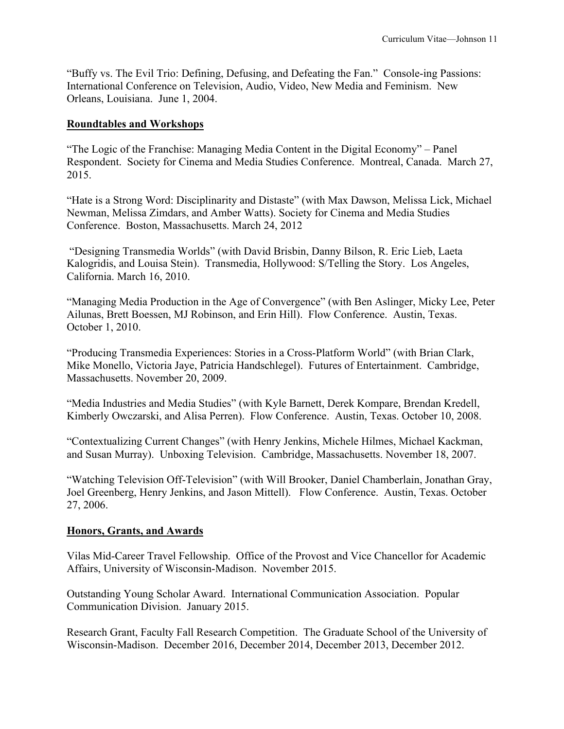"Buffy vs. The Evil Trio: Defining, Defusing, and Defeating the Fan." Console-ing Passions: International Conference on Television, Audio, Video, New Media and Feminism. New Orleans, Louisiana. June 1, 2004.

### **Roundtables and Workshops**

"The Logic of the Franchise: Managing Media Content in the Digital Economy" – Panel Respondent. Society for Cinema and Media Studies Conference. Montreal, Canada. March 27, 2015.

"Hate is a Strong Word: Disciplinarity and Distaste" (with Max Dawson, Melissa Lick, Michael Newman, Melissa Zimdars, and Amber Watts). Society for Cinema and Media Studies Conference. Boston, Massachusetts. March 24, 2012

"Designing Transmedia Worlds" (with David Brisbin, Danny Bilson, R. Eric Lieb, Laeta Kalogridis, and Louisa Stein). Transmedia, Hollywood: S/Telling the Story. Los Angeles, California. March 16, 2010.

"Managing Media Production in the Age of Convergence" (with Ben Aslinger, Micky Lee, Peter Ailunas, Brett Boessen, MJ Robinson, and Erin Hill). Flow Conference. Austin, Texas. October 1, 2010.

"Producing Transmedia Experiences: Stories in a Cross-Platform World" (with Brian Clark, Mike Monello, Victoria Jaye, Patricia Handschlegel). Futures of Entertainment. Cambridge, Massachusetts. November 20, 2009.

"Media Industries and Media Studies" (with Kyle Barnett, Derek Kompare, Brendan Kredell, Kimberly Owczarski, and Alisa Perren). Flow Conference. Austin, Texas. October 10, 2008.

"Contextualizing Current Changes" (with Henry Jenkins, Michele Hilmes, Michael Kackman, and Susan Murray). Unboxing Television. Cambridge, Massachusetts. November 18, 2007.

"Watching Television Off-Television" (with Will Brooker, Daniel Chamberlain, Jonathan Gray, Joel Greenberg, Henry Jenkins, and Jason Mittell). Flow Conference. Austin, Texas. October 27, 2006.

# **Honors, Grants, and Awards**

Vilas Mid-Career Travel Fellowship. Office of the Provost and Vice Chancellor for Academic Affairs, University of Wisconsin-Madison. November 2015.

Outstanding Young Scholar Award. International Communication Association. Popular Communication Division. January 2015.

Research Grant, Faculty Fall Research Competition. The Graduate School of the University of Wisconsin-Madison. December 2016, December 2014, December 2013, December 2012.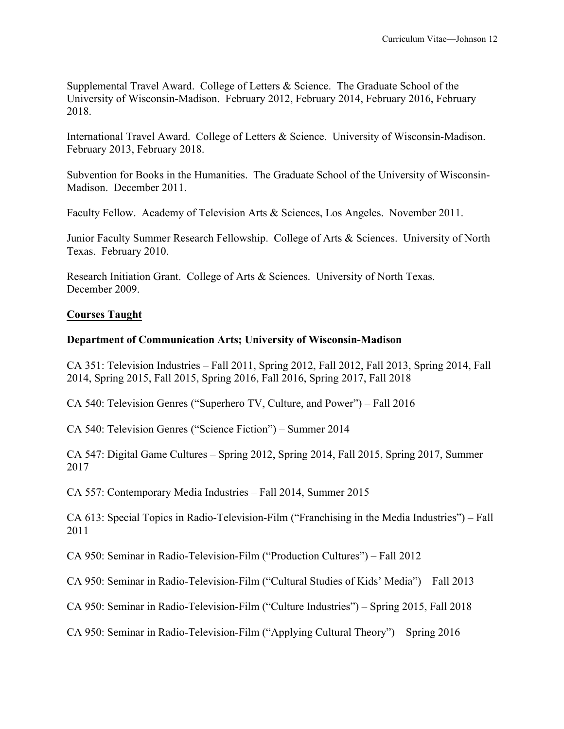Supplemental Travel Award. College of Letters & Science. The Graduate School of the University of Wisconsin-Madison. February 2012, February 2014, February 2016, February 2018.

International Travel Award. College of Letters & Science. University of Wisconsin-Madison. February 2013, February 2018.

Subvention for Books in the Humanities. The Graduate School of the University of Wisconsin-Madison. December 2011.

Faculty Fellow. Academy of Television Arts & Sciences, Los Angeles. November 2011.

Junior Faculty Summer Research Fellowship. College of Arts & Sciences. University of North Texas. February 2010.

Research Initiation Grant. College of Arts & Sciences. University of North Texas. December 2009.

# **Courses Taught**

### **Department of Communication Arts; University of Wisconsin-Madison**

CA 351: Television Industries – Fall 2011, Spring 2012, Fall 2012, Fall 2013, Spring 2014, Fall 2014, Spring 2015, Fall 2015, Spring 2016, Fall 2016, Spring 2017, Fall 2018

CA 540: Television Genres ("Superhero TV, Culture, and Power") – Fall 2016

CA 540: Television Genres ("Science Fiction") – Summer 2014

CA 547: Digital Game Cultures – Spring 2012, Spring 2014, Fall 2015, Spring 2017, Summer 2017

CA 557: Contemporary Media Industries – Fall 2014, Summer 2015

CA 613: Special Topics in Radio-Television-Film ("Franchising in the Media Industries") – Fall 2011

CA 950: Seminar in Radio-Television-Film ("Production Cultures") – Fall 2012

CA 950: Seminar in Radio-Television-Film ("Cultural Studies of Kids' Media") – Fall 2013

CA 950: Seminar in Radio-Television-Film ("Culture Industries") – Spring 2015, Fall 2018

CA 950: Seminar in Radio-Television-Film ("Applying Cultural Theory") – Spring 2016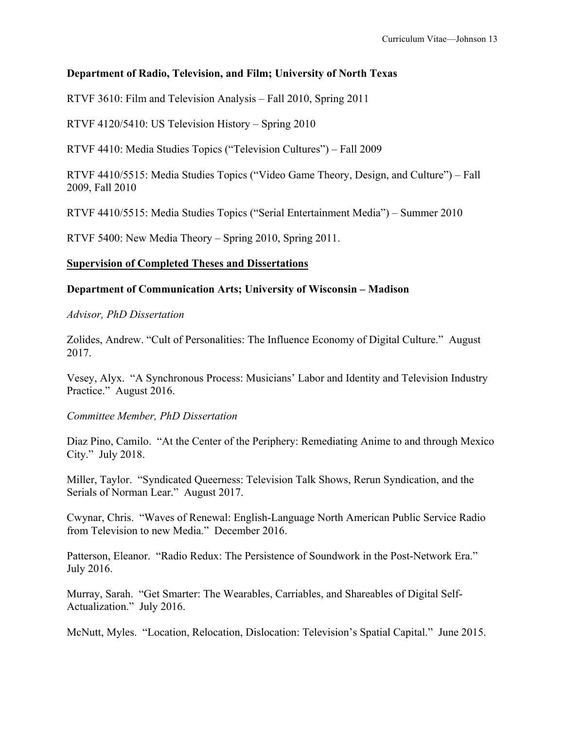# **Department of Radio, Television, and Film; University of North Texas**

RTVF 3610: Film and Television Analysis – Fall 2010, Spring 2011

RTVF 4120/5410: US Television History – Spring 2010

RTVF 4410: Media Studies Topics ("Television Cultures") – Fall 2009

RTVF 4410/5515: Media Studies Topics ("Video Game Theory, Design, and Culture") – Fall 2009, Fall 2010

RTVF 4410/5515: Media Studies Topics ("Serial Entertainment Media") – Summer 2010

RTVF 5400: New Media Theory – Spring 2010, Spring 2011.

### **Supervision of Completed Theses and Dissertations**

### **Department of Communication Arts; University of Wisconsin – Madison**

*Advisor, PhD Dissertation*

Zolides, Andrew. "Cult of Personalities: The Influence Economy of Digital Culture." August 2017.

Vesey, Alyx. "A Synchronous Process: Musicians' Labor and Identity and Television Industry Practice." August 2016.

*Committee Member, PhD Dissertation* 

Diaz Pino, Camilo. "At the Center of the Periphery: Remediating Anime to and through Mexico City." July 2018.

Miller, Taylor. "Syndicated Queerness: Television Talk Shows, Rerun Syndication, and the Serials of Norman Lear." August 2017.

Cwynar, Chris. "Waves of Renewal: English-Language North American Public Service Radio from Television to new Media." December 2016.

Patterson, Eleanor. "Radio Redux: The Persistence of Soundwork in the Post-Network Era." July 2016.

Murray, Sarah. "Get Smarter: The Wearables, Carriables, and Shareables of Digital Self-Actualization." July 2016.

McNutt, Myles. "Location, Relocation, Dislocation: Television's Spatial Capital." June 2015.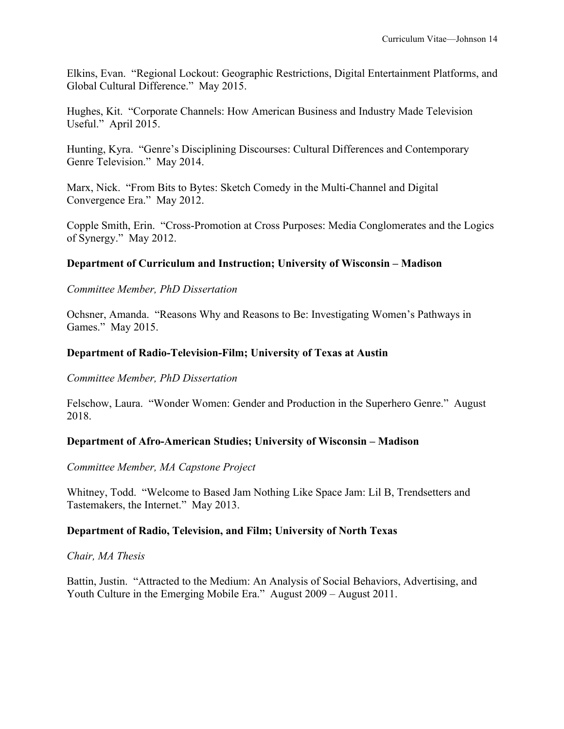Elkins, Evan. "Regional Lockout: Geographic Restrictions, Digital Entertainment Platforms, and Global Cultural Difference." May 2015.

Hughes, Kit. "Corporate Channels: How American Business and Industry Made Television Useful." April 2015.

Hunting, Kyra. "Genre's Disciplining Discourses: Cultural Differences and Contemporary Genre Television." May 2014.

Marx, Nick. "From Bits to Bytes: Sketch Comedy in the Multi-Channel and Digital Convergence Era." May 2012.

Copple Smith, Erin. "Cross-Promotion at Cross Purposes: Media Conglomerates and the Logics of Synergy." May 2012.

# **Department of Curriculum and Instruction; University of Wisconsin – Madison**

### *Committee Member, PhD Dissertation*

Ochsner, Amanda. "Reasons Why and Reasons to Be: Investigating Women's Pathways in Games." May 2015.

### **Department of Radio-Television-Film; University of Texas at Austin**

*Committee Member, PhD Dissertation* 

Felschow, Laura. "Wonder Women: Gender and Production in the Superhero Genre." August 2018.

### **Department of Afro-American Studies; University of Wisconsin – Madison**

### *Committee Member, MA Capstone Project*

Whitney, Todd. "Welcome to Based Jam Nothing Like Space Jam: Lil B, Trendsetters and Tastemakers, the Internet." May 2013.

# **Department of Radio, Television, and Film; University of North Texas**

### *Chair, MA Thesis*

Battin, Justin. "Attracted to the Medium: An Analysis of Social Behaviors, Advertising, and Youth Culture in the Emerging Mobile Era." August 2009 – August 2011.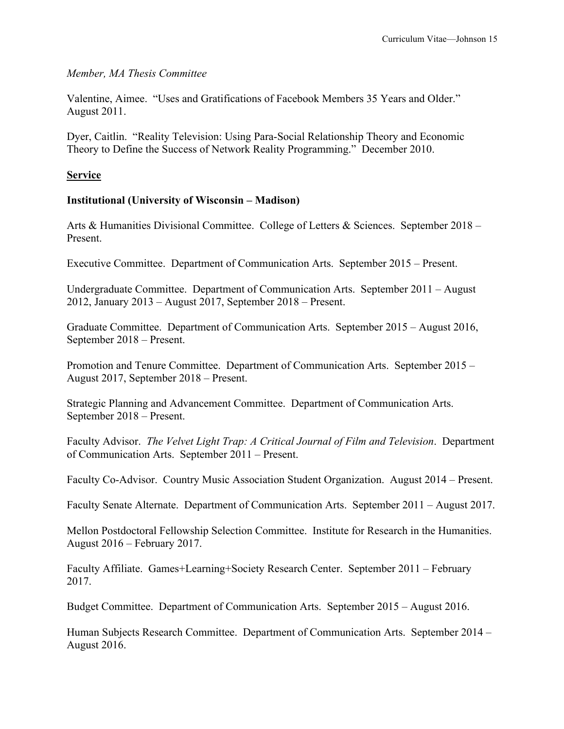### *Member, MA Thesis Committee*

Valentine, Aimee. "Uses and Gratifications of Facebook Members 35 Years and Older." August 2011.

Dyer, Caitlin. "Reality Television: Using Para-Social Relationship Theory and Economic Theory to Define the Success of Network Reality Programming." December 2010.

### **Service**

### **Institutional (University of Wisconsin – Madison)**

Arts & Humanities Divisional Committee. College of Letters & Sciences. September 2018 – Present.

Executive Committee. Department of Communication Arts. September 2015 – Present.

Undergraduate Committee. Department of Communication Arts. September 2011 – August 2012, January 2013 – August 2017, September 2018 – Present.

Graduate Committee. Department of Communication Arts. September 2015 – August 2016, September 2018 – Present.

Promotion and Tenure Committee. Department of Communication Arts. September 2015 – August 2017, September 2018 – Present.

Strategic Planning and Advancement Committee. Department of Communication Arts. September 2018 – Present.

Faculty Advisor. *The Velvet Light Trap: A Critical Journal of Film and Television*. Department of Communication Arts. September 2011 – Present.

Faculty Co-Advisor. Country Music Association Student Organization. August 2014 – Present.

Faculty Senate Alternate. Department of Communication Arts. September 2011 – August 2017.

Mellon Postdoctoral Fellowship Selection Committee. Institute for Research in the Humanities. August 2016 – February 2017.

Faculty Affiliate. Games+Learning+Society Research Center. September 2011 – February 2017.

Budget Committee. Department of Communication Arts. September 2015 – August 2016.

Human Subjects Research Committee. Department of Communication Arts. September 2014 – August 2016.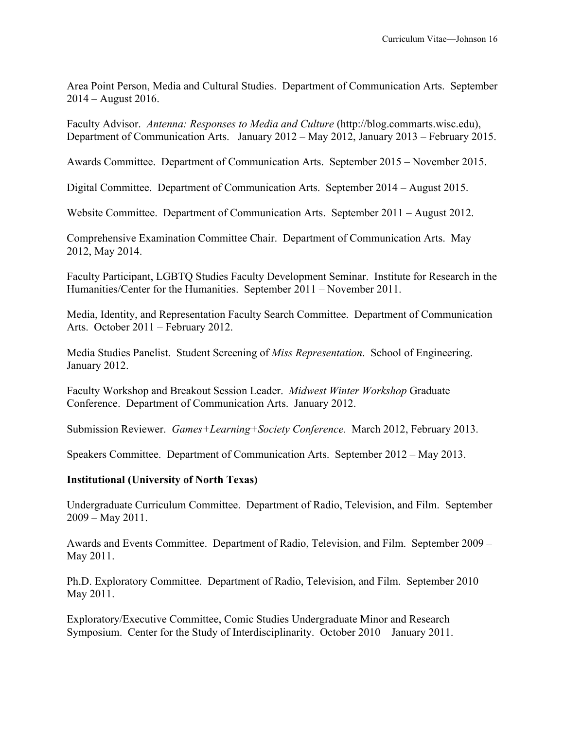Area Point Person, Media and Cultural Studies. Department of Communication Arts. September 2014 – August 2016.

Faculty Advisor. *Antenna: Responses to Media and Culture* (http://blog.commarts.wisc.edu), Department of Communication Arts. January 2012 – May 2012, January 2013 – February 2015.

Awards Committee. Department of Communication Arts. September 2015 – November 2015.

Digital Committee. Department of Communication Arts. September 2014 – August 2015.

Website Committee. Department of Communication Arts. September 2011 – August 2012.

Comprehensive Examination Committee Chair. Department of Communication Arts. May 2012, May 2014.

Faculty Participant, LGBTQ Studies Faculty Development Seminar. Institute for Research in the Humanities/Center for the Humanities. September 2011 – November 2011.

Media, Identity, and Representation Faculty Search Committee. Department of Communication Arts. October 2011 – February 2012.

Media Studies Panelist. Student Screening of *Miss Representation*. School of Engineering. January 2012.

Faculty Workshop and Breakout Session Leader. *Midwest Winter Workshop* Graduate Conference. Department of Communication Arts. January 2012.

Submission Reviewer. *Games+Learning+Society Conference.* March 2012, February 2013.

Speakers Committee. Department of Communication Arts. September 2012 – May 2013.

### **Institutional (University of North Texas)**

Undergraduate Curriculum Committee. Department of Radio, Television, and Film. September 2009 – May 2011.

Awards and Events Committee. Department of Radio, Television, and Film. September 2009 – May 2011.

Ph.D. Exploratory Committee. Department of Radio, Television, and Film. September 2010 – May 2011.

Exploratory/Executive Committee, Comic Studies Undergraduate Minor and Research Symposium. Center for the Study of Interdisciplinarity. October 2010 – January 2011.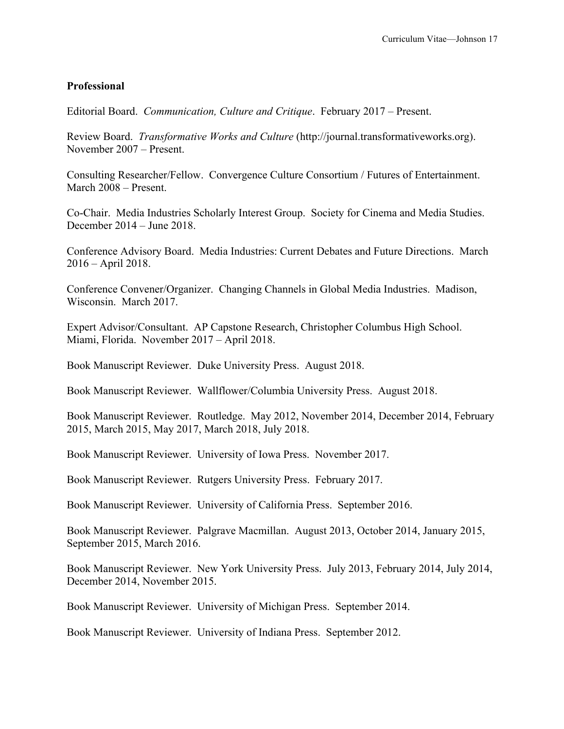### **Professional**

Editorial Board. *Communication, Culture and Critique*. February 2017 – Present.

Review Board. *Transformative Works and Culture* (http://journal.transformativeworks.org). November 2007 – Present.

Consulting Researcher/Fellow. Convergence Culture Consortium / Futures of Entertainment. March 2008 – Present.

Co-Chair. Media Industries Scholarly Interest Group. Society for Cinema and Media Studies. December 2014 – June 2018.

Conference Advisory Board. Media Industries: Current Debates and Future Directions. March 2016 – April 2018.

Conference Convener/Organizer. Changing Channels in Global Media Industries. Madison, Wisconsin. March 2017.

Expert Advisor/Consultant. AP Capstone Research, Christopher Columbus High School. Miami, Florida. November 2017 – April 2018.

Book Manuscript Reviewer. Duke University Press. August 2018.

Book Manuscript Reviewer. Wallflower/Columbia University Press. August 2018.

Book Manuscript Reviewer. Routledge. May 2012, November 2014, December 2014, February 2015, March 2015, May 2017, March 2018, July 2018.

Book Manuscript Reviewer. University of Iowa Press. November 2017.

Book Manuscript Reviewer. Rutgers University Press. February 2017.

Book Manuscript Reviewer. University of California Press. September 2016.

Book Manuscript Reviewer. Palgrave Macmillan. August 2013, October 2014, January 2015, September 2015, March 2016.

Book Manuscript Reviewer. New York University Press. July 2013, February 2014, July 2014, December 2014, November 2015.

Book Manuscript Reviewer. University of Michigan Press. September 2014.

Book Manuscript Reviewer. University of Indiana Press. September 2012.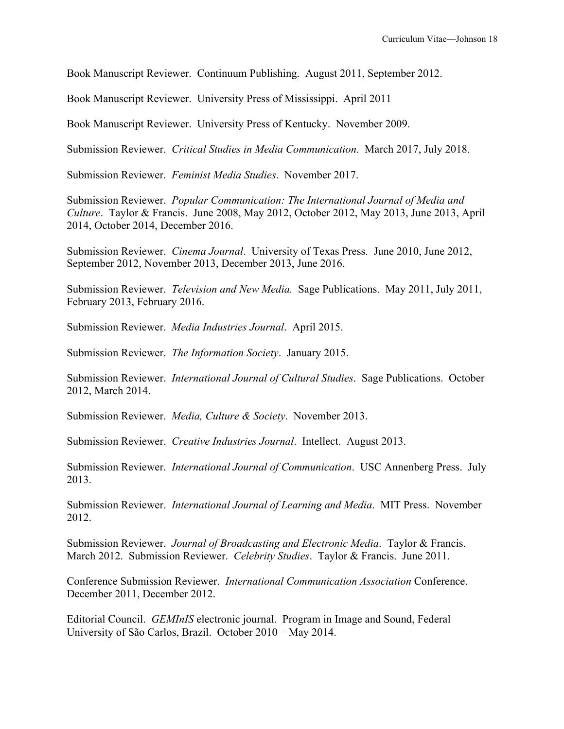Book Manuscript Reviewer. Continuum Publishing. August 2011, September 2012.

Book Manuscript Reviewer. University Press of Mississippi. April 2011

Book Manuscript Reviewer. University Press of Kentucky. November 2009.

Submission Reviewer. *Critical Studies in Media Communication*. March 2017, July 2018.

Submission Reviewer. *Feminist Media Studies*. November 2017.

Submission Reviewer. *Popular Communication: The International Journal of Media and Culture*. Taylor & Francis. June 2008, May 2012, October 2012, May 2013, June 2013, April 2014, October 2014, December 2016.

Submission Reviewer. *Cinema Journal*. University of Texas Press. June 2010, June 2012, September 2012, November 2013, December 2013, June 2016.

Submission Reviewer. *Television and New Media.* Sage Publications. May 2011, July 2011, February 2013, February 2016.

Submission Reviewer. *Media Industries Journal*. April 2015.

Submission Reviewer. *The Information Society*. January 2015.

Submission Reviewer. *International Journal of Cultural Studies*. Sage Publications. October 2012, March 2014.

Submission Reviewer. *Media, Culture & Society*. November 2013.

Submission Reviewer. *Creative Industries Journal*. Intellect. August 2013.

Submission Reviewer. *International Journal of Communication*. USC Annenberg Press. July 2013.

Submission Reviewer. *International Journal of Learning and Media*. MIT Press. November 2012.

Submission Reviewer. *Journal of Broadcasting and Electronic Media*. Taylor & Francis. March 2012. Submission Reviewer. *Celebrity Studies*. Taylor & Francis. June 2011.

Conference Submission Reviewer. *International Communication Association* Conference. December 2011, December 2012.

Editorial Council. *GEMInIS* electronic journal. Program in Image and Sound, Federal University of São Carlos, Brazil. October 2010 – May 2014.